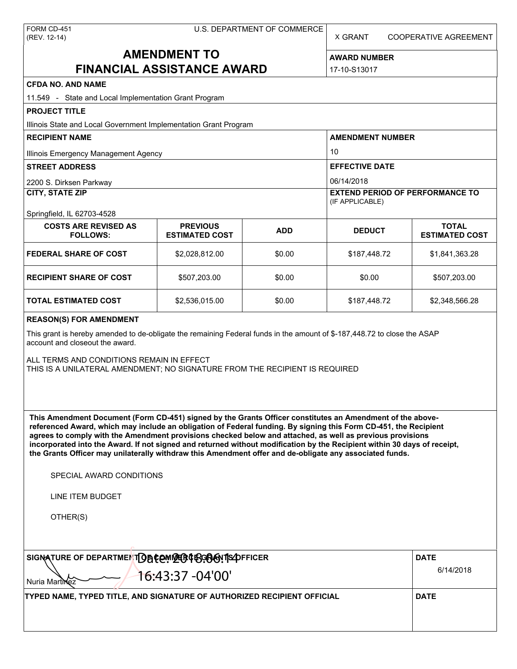| FORM CD-451  |
|--------------|
| (REV. 12-14) |

X GRANT COOPERATIVE AGREEMENT

# **AMENDMENT TO FINANCIAL ASSISTANCE AWARD**

**AWARD NUMBER** 17-10-S13017

| <b>CFDA NO. AND NAME</b>                                                                                                                                                                                                                                                                                                                                                                                                                                                                                                                                                          |                                          |            |                                                                         |                                       |  |  |
|-----------------------------------------------------------------------------------------------------------------------------------------------------------------------------------------------------------------------------------------------------------------------------------------------------------------------------------------------------------------------------------------------------------------------------------------------------------------------------------------------------------------------------------------------------------------------------------|------------------------------------------|------------|-------------------------------------------------------------------------|---------------------------------------|--|--|
| 11.549 - State and Local Implementation Grant Program                                                                                                                                                                                                                                                                                                                                                                                                                                                                                                                             |                                          |            |                                                                         |                                       |  |  |
| <b>PROJECT TITLE</b>                                                                                                                                                                                                                                                                                                                                                                                                                                                                                                                                                              |                                          |            |                                                                         |                                       |  |  |
| Illinois State and Local Government Implementation Grant Program                                                                                                                                                                                                                                                                                                                                                                                                                                                                                                                  |                                          |            |                                                                         |                                       |  |  |
| <b>RECIPIENT NAME</b>                                                                                                                                                                                                                                                                                                                                                                                                                                                                                                                                                             |                                          |            | <b>AMENDMENT NUMBER</b>                                                 |                                       |  |  |
| Illinois Emergency Management Agency                                                                                                                                                                                                                                                                                                                                                                                                                                                                                                                                              |                                          |            | 10                                                                      |                                       |  |  |
| <b>STREET ADDRESS</b>                                                                                                                                                                                                                                                                                                                                                                                                                                                                                                                                                             |                                          |            | <b>EFFECTIVE DATE</b>                                                   |                                       |  |  |
| 2200 S. Dirksen Parkway<br>CITY, STATE ZIP                                                                                                                                                                                                                                                                                                                                                                                                                                                                                                                                        |                                          |            | 06/14/2018<br><b>EXTEND PERIOD OF PERFORMANCE TO</b><br>(IF APPLICABLE) |                                       |  |  |
| Springfield, IL 62703-4528<br><b>COSTS ARE REVISED AS</b><br><b>FOLLOWS:</b>                                                                                                                                                                                                                                                                                                                                                                                                                                                                                                      | <b>PREVIOUS</b><br><b>ESTIMATED COST</b> | <b>ADD</b> | <b>DEDUCT</b>                                                           | <b>TOTAL</b><br><b>ESTIMATED COST</b> |  |  |
| <b>FEDERAL SHARE OF COST</b>                                                                                                                                                                                                                                                                                                                                                                                                                                                                                                                                                      | \$2,028,812.00                           | \$0.00     | \$187,448.72                                                            | \$1,841,363.28                        |  |  |
| <b>RECIPIENT SHARE OF COST</b>                                                                                                                                                                                                                                                                                                                                                                                                                                                                                                                                                    | \$507,203.00                             | \$0.00     | \$0.00                                                                  | \$507,203.00                          |  |  |
| <b>TOTAL ESTIMATED COST</b>                                                                                                                                                                                                                                                                                                                                                                                                                                                                                                                                                       | \$2,536,015.00                           | \$0.00     | \$187,448.72                                                            | \$2,348,566.28                        |  |  |
| <b>REASON(S) FOR AMENDMENT</b>                                                                                                                                                                                                                                                                                                                                                                                                                                                                                                                                                    |                                          |            |                                                                         |                                       |  |  |
| This grant is hereby amended to de-obligate the remaining Federal funds in the amount of \$-187,448.72 to close the ASAP<br>account and closeout the award.                                                                                                                                                                                                                                                                                                                                                                                                                       |                                          |            |                                                                         |                                       |  |  |
| ALL TERMS AND CONDITIONS REMAIN IN EFFECT<br>THIS IS A UNILATERAL AMENDMENT; NO SIGNATURE FROM THE RECIPIENT IS REQUIRED                                                                                                                                                                                                                                                                                                                                                                                                                                                          |                                          |            |                                                                         |                                       |  |  |
| This Amendment Document (Form CD-451) signed by the Grants Officer constitutes an Amendment of the above-<br>referenced Award, which may include an obligation of Federal funding. By signing this Form CD-451, the Recipient<br>agrees to comply with the Amendment provisions checked below and attached, as well as previous provisions<br>incorporated into the Award. If not signed and returned without modification by the Recipient within 30 days of receipt,<br>the Grants Officer may unilaterally withdraw this Amendment offer and de-obligate any associated funds. |                                          |            |                                                                         |                                       |  |  |
| SPECIAL AWARD CONDITIONS                                                                                                                                                                                                                                                                                                                                                                                                                                                                                                                                                          |                                          |            |                                                                         |                                       |  |  |
| <b>LINE ITEM BUDGET</b>                                                                                                                                                                                                                                                                                                                                                                                                                                                                                                                                                           |                                          |            |                                                                         |                                       |  |  |
| OTHER(S)                                                                                                                                                                                                                                                                                                                                                                                                                                                                                                                                                                          |                                          |            |                                                                         |                                       |  |  |
| SIGNATURE OF DEPARTMENTOBCOMMERCEGOGYTS OFFICER<br><b>DATE</b><br>16:43:37 -04'00'<br>Nuria Martinez                                                                                                                                                                                                                                                                                                                                                                                                                                                                              |                                          |            |                                                                         |                                       |  |  |
| TYPED NAME, TYPED TITLE, AND SIGNATURE OF AUTHORIZED RECIPIENT OFFICIAL                                                                                                                                                                                                                                                                                                                                                                                                                                                                                                           |                                          |            |                                                                         | <b>DATE</b>                           |  |  |